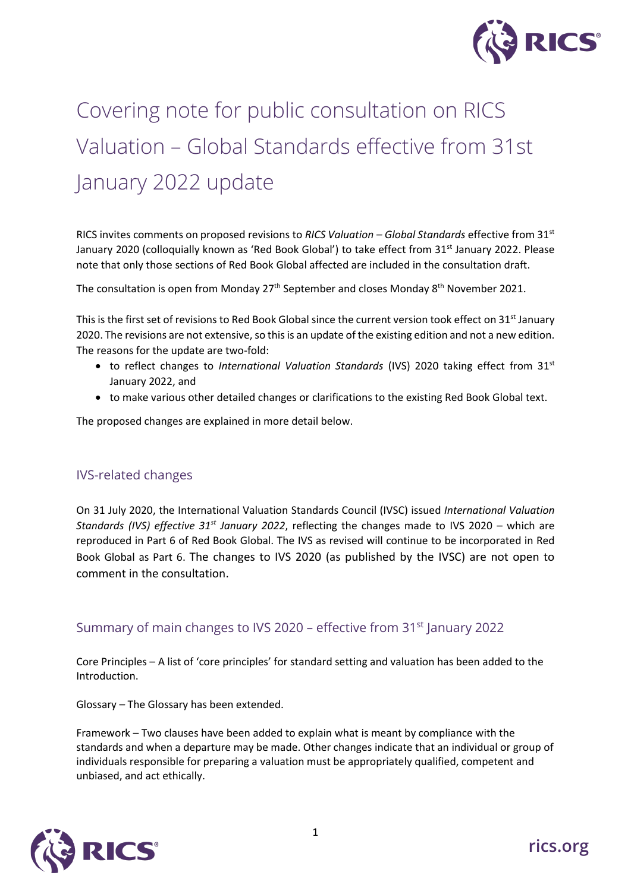

# Covering note for public consultation on RICS Valuation – Global Standards effective from 31st January 2022 update

RICS invites comments on proposed revisions to *RICS Valuation – Global Standards* effective from 31st January 2020 (colloquially known as 'Red Book Global') to take effect from 31<sup>st</sup> January 2022. Please note that only those sections of Red Book Global affected are included in the consultation draft.

The consultation is open from Monday 27<sup>th</sup> September and closes Monday 8<sup>th</sup> November 2021.

This is the first set of revisions to Red Book Global since the current version took effect on 31<sup>st</sup> January 2020. The revisions are not extensive, so this is an update of the existing edition and not a new edition. The reasons for the update are two-fold:

- to reflect changes to *International Valuation Standards* (IVS) 2020 taking effect from 31st January 2022, and
- to make various other detailed changes or clarifications to the existing Red Book Global text.

The proposed changes are explained in more detail below.

### IVS-related changes

On 31 July 2020, the International Valuation Standards Council (IVSC) issued *International Valuation Standards (IVS) effective 31st January 2022*, reflecting the changes made to IVS 2020 – which are reproduced in Part 6 of Red Book Global. The IVS as revised will continue to be incorporated in Red Book Global as Part 6. The changes to IVS 2020 (as published by the IVSC) are not open to comment in the consultation.

## Summary of main changes to IVS 2020 – effective from 31<sup>st</sup> January 2022

Core Principles – A list of 'core principles' for standard setting and valuation has been added to the Introduction.

Glossary – The Glossary has been extended.

Framework – Two clauses have been added to explain what is meant by compliance with the standards and when a departure may be made. Other changes indicate that an individual or group of individuals responsible for preparing a valuation must be appropriately qualified, competent and unbiased, and act ethically.

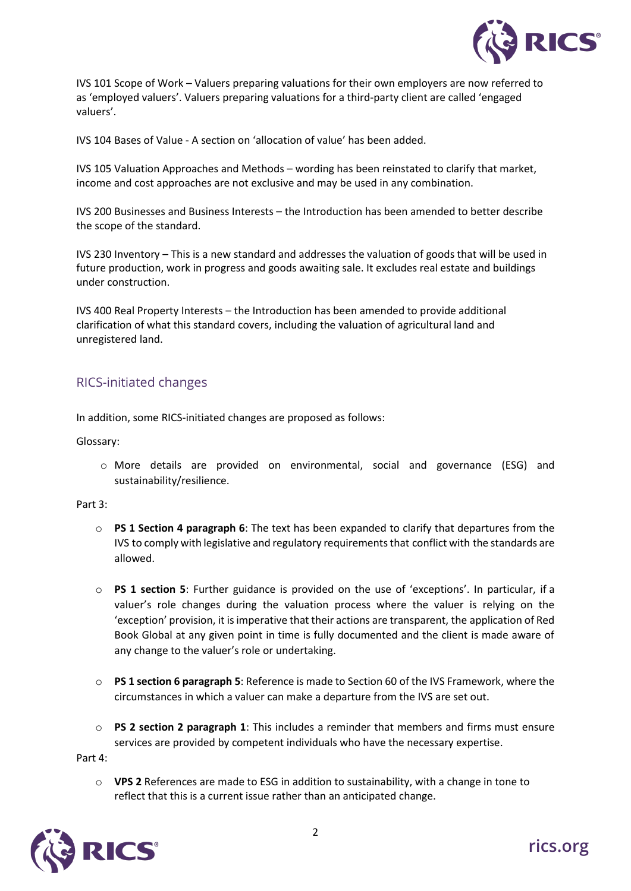

IVS 101 Scope of Work – Valuers preparing valuations for their own employers are now referred to as 'employed valuers'. Valuers preparing valuations for a third-party client are called 'engaged valuers'.

IVS 104 Bases of Value - A section on 'allocation of value' has been added.

IVS 105 Valuation Approaches and Methods – wording has been reinstated to clarify that market, income and cost approaches are not exclusive and may be used in any combination.

IVS 200 Businesses and Business Interests – the Introduction has been amended to better describe the scope of the standard.

IVS 230 Inventory – This is a new standard and addresses the valuation of goods that will be used in future production, work in progress and goods awaiting sale. It excludes real estate and buildings under construction.

IVS 400 Real Property Interests – the Introduction has been amended to provide additional clarification of what this standard covers, including the valuation of agricultural land and unregistered land.

## RICS-initiated changes

In addition, some RICS-initiated changes are proposed as follows:

Glossary:

o More details are provided on environmental, social and governance (ESG) and sustainability/resilience.

Part 3:

- o **PS 1 Section 4 paragraph 6**: The text has been expanded to clarify that departures from the IVS to comply with legislative and regulatory requirements that conflict with the standards are allowed.
- o **PS 1 section 5**: Further guidance is provided on the use of 'exceptions'. In particular, if a valuer's role changes during the valuation process where the valuer is relying on the 'exception' provision, it is imperative that their actions are transparent, the application of Red Book Global at any given point in time is fully documented and the client is made aware of any change to the valuer's role or undertaking.
- o **PS 1 section 6 paragraph 5**: Reference is made to Section 60 of the IVS Framework, where the circumstances in which a valuer can make a departure from the IVS are set out.
- o **PS 2 section 2 paragraph 1**: This includes a reminder that members and firms must ensure services are provided by competent individuals who have the necessary expertise.

Part 4:

o **VPS 2** References are made to ESG in addition to sustainability, with a change in tone to reflect that this is a current issue rather than an anticipated change.